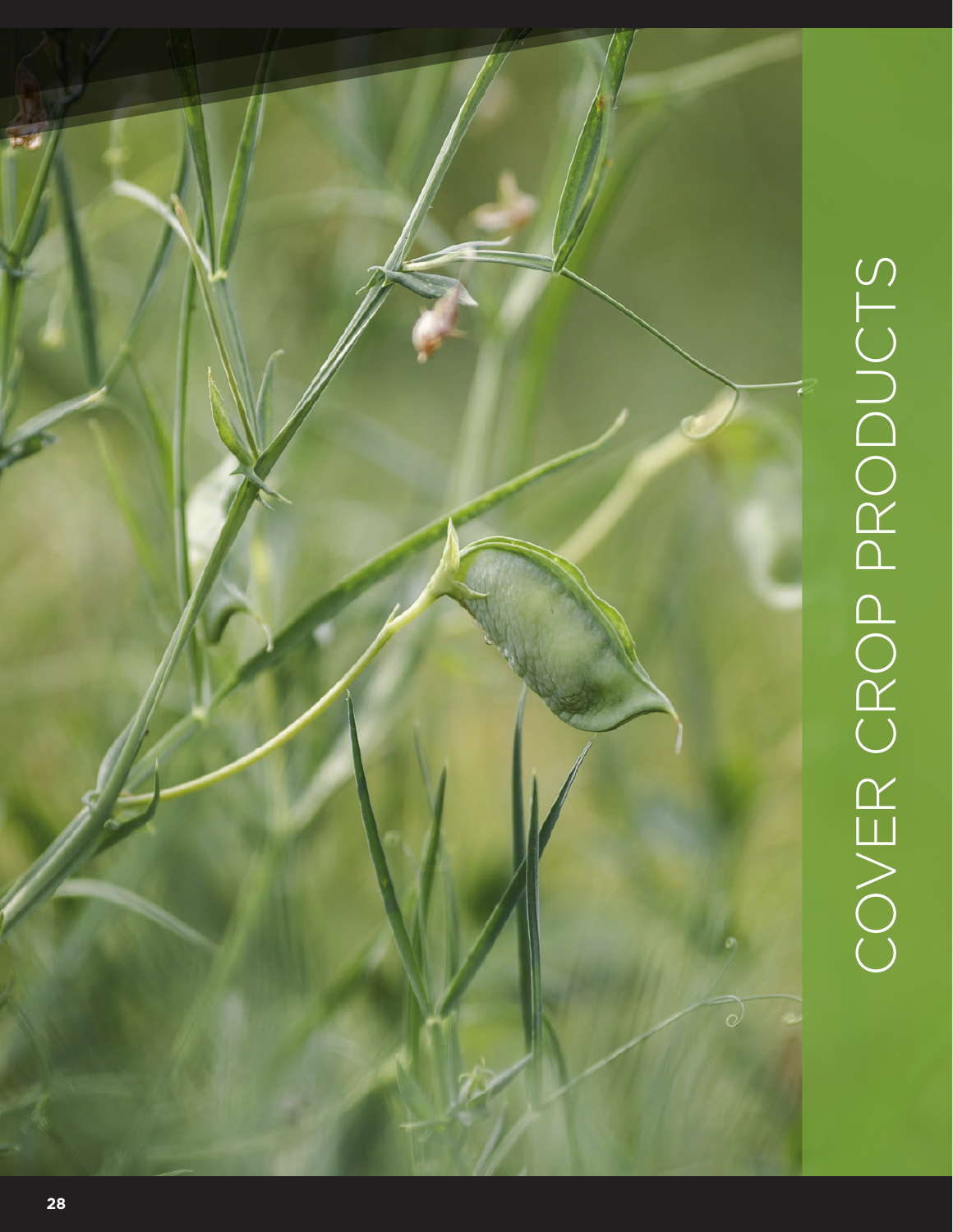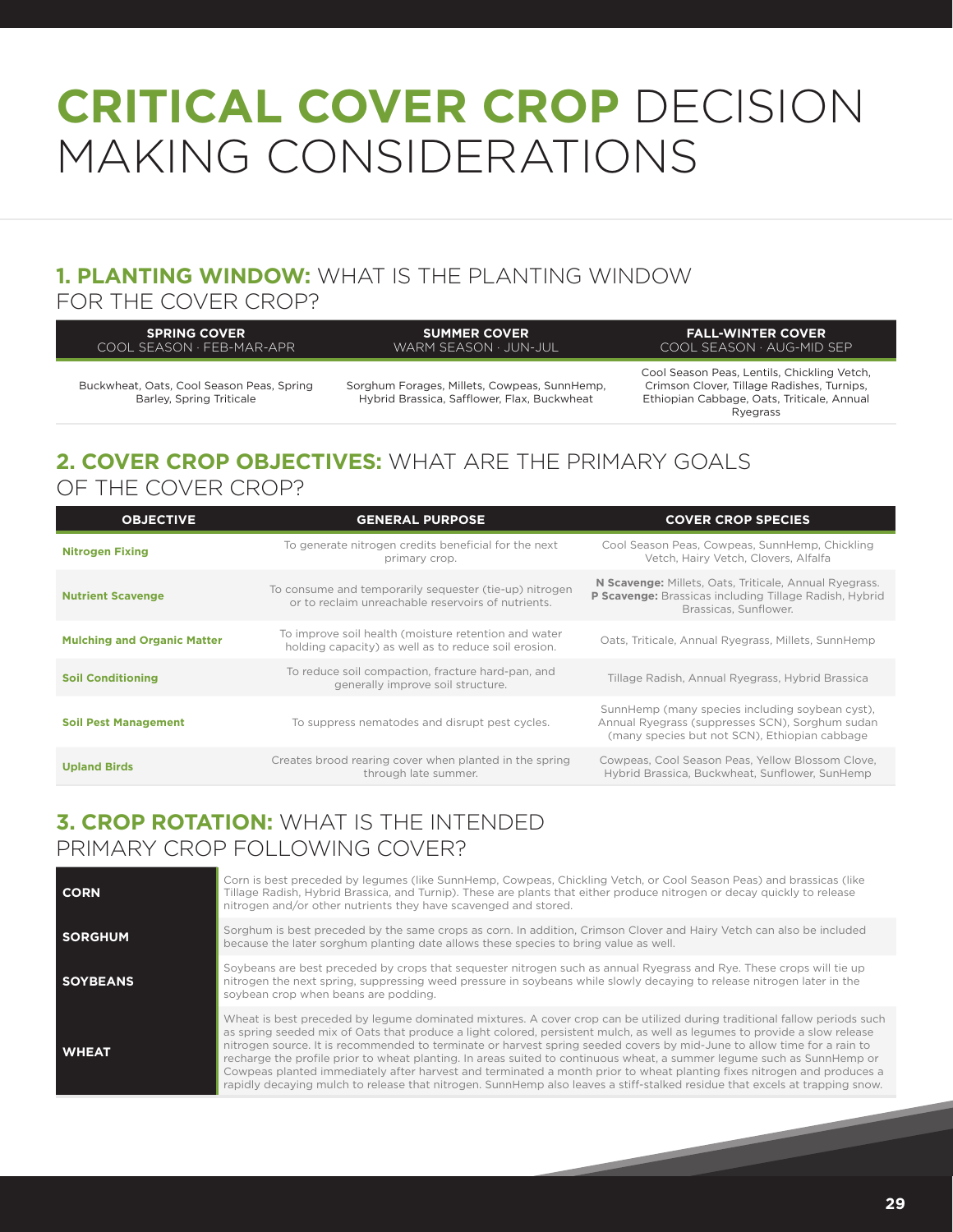# **CRITICAL COVER CROP** DECISION MAKING CONSIDERATIONS

## **1. PLANTING WINDOW:** WHAT IS THE PLANTING WINDOW

#### FOR THE COVER CROP?

| <b>SPRING COVER</b><br>COOL SFASON · FFB-MAR-APR | <b>SUMMER COVER</b><br>WARM SFASON · JUN-JUL | <b>FALL-WINTER COVER</b><br>COOL SEASON · AUG-MID SEP |
|--------------------------------------------------|----------------------------------------------|-------------------------------------------------------|
|                                                  |                                              | Cool Season Deas Lentils Chickling Vetch              |

Buckwheat, Oats, Cool Season Peas, Spring Barley, Spring Triticale

Sorghum Forages, Millets, Cowpeas, SunnHemp, Hybrid Brassica, Safflower, Flax, Buckwheat

Cool Season Peas, Lentils, Chickling Vetch, Crimson Clover, Tillage Radishes, Turnips, Ethiopian Cabbage, Oats, Triticale, Annual Ryegrass

### **2. COVER CROP OBJECTIVES:** WHAT ARE THE PRIMARY GOALS OF THE COVER CROP?

| <b>OBJECTIVE</b>                   | <b>GENERAL PURPOSE</b>                                                                                       | <b>COVER CROP SPECIES</b>                                                                                                                           |
|------------------------------------|--------------------------------------------------------------------------------------------------------------|-----------------------------------------------------------------------------------------------------------------------------------------------------|
| <b>Nitrogen Fixing</b>             | To generate nitrogen credits beneficial for the next<br>primary crop.                                        | Cool Season Peas, Cowpeas, SunnHemp, Chickling<br>Vetch, Hairy Vetch, Clovers, Alfalfa                                                              |
| <b>Nutrient Scavenge</b>           | To consume and temporarily sequester (tie-up) nitrogen<br>or to reclaim unreachable reservoirs of nutrients. | N Scavenge: Millets, Oats, Triticale, Annual Ryegrass.<br>P Scavenge: Brassicas including Tillage Radish, Hybrid<br>Brassicas, Sunflower.           |
| <b>Mulching and Organic Matter</b> | To improve soil health (moisture retention and water<br>holding capacity) as well as to reduce soil erosion. | Oats, Triticale, Annual Ryegrass, Millets, SunnHemp                                                                                                 |
| <b>Soil Conditioning</b>           | To reduce soil compaction, fracture hard-pan, and<br>generally improve soil structure.                       | Tillage Radish, Annual Ryegrass, Hybrid Brassica                                                                                                    |
| <b>Soil Pest Management</b>        | To suppress nematodes and disrupt pest cycles.                                                               | SunnHemp (many species including soybean cyst),<br>Annual Ryegrass (suppresses SCN), Sorghum sudan<br>(many species but not SCN), Ethiopian cabbage |
| <b>Upland Birds</b>                | Creates brood rearing cover when planted in the spring<br>through late summer.                               | Cowpeas, Cool Season Peas, Yellow Blossom Clove,<br>Hybrid Brassica, Buckwheat, Sunflower, SunHemp                                                  |

### **3. CROP ROTATION:** WHAT IS THE INTENDED PRIMARY CROP FOLLOWING COVER?

| <b>CORN</b>     | Corn is best preceded by legumes (like SunnHemp, Cowpeas, Chickling Vetch, or Cool Season Peas) and brassicas (like<br>Tillage Radish, Hybrid Brassica, and Turnip). These are plants that either produce nitrogen or decay quickly to release<br>nitrogen and/or other nutrients they have scavenged and stored.                                                                                                                                                                                                                                                                                                                                                                                                                                                   |
|-----------------|---------------------------------------------------------------------------------------------------------------------------------------------------------------------------------------------------------------------------------------------------------------------------------------------------------------------------------------------------------------------------------------------------------------------------------------------------------------------------------------------------------------------------------------------------------------------------------------------------------------------------------------------------------------------------------------------------------------------------------------------------------------------|
| <b>SORGHUM</b>  | Sorghum is best preceded by the same crops as corn. In addition, Crimson Clover and Hairy Vetch can also be included<br>because the later sorghum planting date allows these species to bring value as well.                                                                                                                                                                                                                                                                                                                                                                                                                                                                                                                                                        |
| <b>SOYBEANS</b> | Soybeans are best preceded by crops that sequester nitrogen such as annual Ryegrass and Rye. These crops will tie up<br>nitrogen the next spring, suppressing weed pressure in soybeans while slowly decaying to release nitrogen later in the<br>soybean crop when beans are podding.                                                                                                                                                                                                                                                                                                                                                                                                                                                                              |
| <b>WHEAT</b>    | Wheat is best preceded by legume dominated mixtures. A cover crop can be utilized during traditional fallow periods such<br>as spring seeded mix of Oats that produce a light colored, persistent mulch, as well as legumes to provide a slow release<br>nitrogen source. It is recommended to terminate or harvest spring seeded covers by mid-June to allow time for a rain to<br>recharge the profile prior to wheat planting. In areas suited to continuous wheat, a summer legume such as SunnHemp or<br>Cowpeas planted immediately after harvest and terminated a month prior to wheat planting fixes nitrogen and produces a<br>rapidly decaying mulch to release that nitrogen. SunnHemp also leaves a stiff-stalked residue that excels at trapping snow. |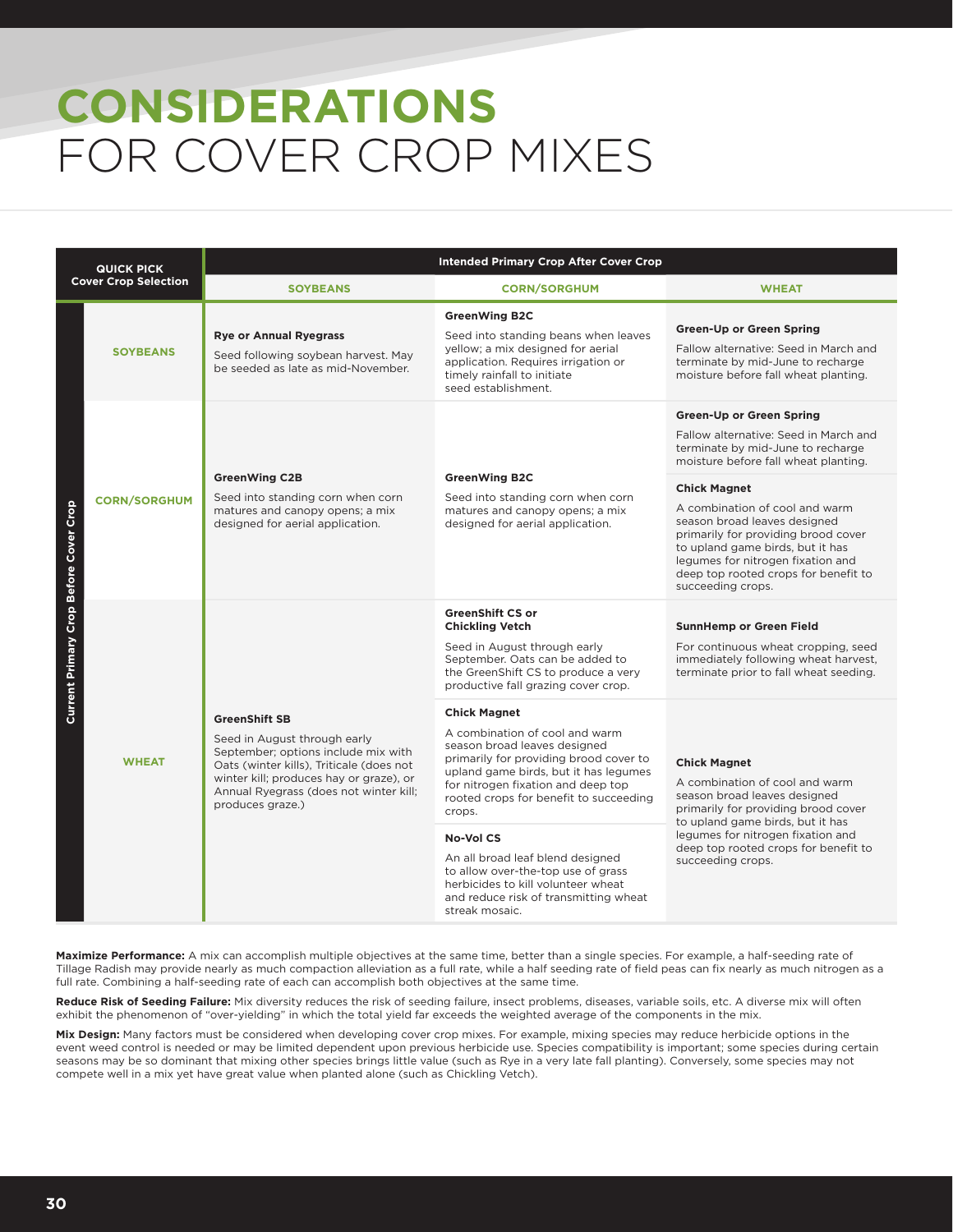# **CONSIDERATIONS** FOR COVER CROP MIXES

| <b>QUICK PICK</b><br><b>Cover Crop Selection</b> |                                                                                                                                                                                                                                                                  | <b>Intended Primary Crop After Cover Crop</b>                                                                                                                                                                                                                      |                                                                                                                                                                                                                                                                    |                                                                                                                                                         |  |  |
|--------------------------------------------------|------------------------------------------------------------------------------------------------------------------------------------------------------------------------------------------------------------------------------------------------------------------|--------------------------------------------------------------------------------------------------------------------------------------------------------------------------------------------------------------------------------------------------------------------|--------------------------------------------------------------------------------------------------------------------------------------------------------------------------------------------------------------------------------------------------------------------|---------------------------------------------------------------------------------------------------------------------------------------------------------|--|--|
|                                                  |                                                                                                                                                                                                                                                                  | <b>SOYBEANS</b>                                                                                                                                                                                                                                                    | <b>CORN/SORGHUM</b>                                                                                                                                                                                                                                                | <b>WHEAT</b>                                                                                                                                            |  |  |
| Current Primary Crop Before Cover Crop           | <b>SOYBEANS</b>                                                                                                                                                                                                                                                  | <b>Rye or Annual Ryegrass</b><br>Seed following soybean harvest. May<br>be seeded as late as mid-November.                                                                                                                                                         | <b>GreenWing B2C</b><br>Seed into standing beans when leaves<br>yellow; a mix designed for aerial<br>application. Requires irrigation or<br>timely rainfall to initiate<br>seed establishment.                                                                     | <b>Green-Up or Green Spring</b><br>Fallow alternative: Seed in March and<br>terminate by mid-June to recharge<br>moisture before fall wheat planting.   |  |  |
|                                                  | <b>GreenWing C2B</b><br>Seed into standing corn when corn<br><b>CORN/SORGHUM</b><br>matures and canopy opens; a mix<br>designed for aerial application.                                                                                                          |                                                                                                                                                                                                                                                                    |                                                                                                                                                                                                                                                                    | <b>Green-Up or Green Spring</b><br>Fallow alternative: Seed in March and<br>terminate by mid-June to recharge<br>moisture before fall wheat planting.   |  |  |
|                                                  |                                                                                                                                                                                                                                                                  | <b>GreenWing B2C</b><br>Seed into standing corn when corn<br>matures and canopy opens; a mix<br>designed for aerial application.                                                                                                                                   | <b>Chick Magnet</b><br>A combination of cool and warm<br>season broad leaves designed<br>primarily for providing brood cover<br>to upland game birds, but it has<br>legumes for nitrogen fixation and<br>deep top rooted crops for benefit to<br>succeeding crops. |                                                                                                                                                         |  |  |
|                                                  | <b>GreenShift SB</b><br>Seed in August through early<br>September; options include mix with<br><b>WHEAT</b><br>Oats (winter kills), Triticale (does not<br>winter kill; produces hay or graze), or<br>Annual Ryegrass (does not winter kill;<br>produces graze.) |                                                                                                                                                                                                                                                                    | <b>GreenShift CS or</b><br><b>Chickling Vetch</b><br>Seed in August through early<br>September. Oats can be added to<br>the GreenShift CS to produce a very<br>productive fall grazing cover crop.                                                                 | <b>SunnHemp or Green Field</b><br>For continuous wheat cropping, seed<br>immediately following wheat harvest,<br>terminate prior to fall wheat seeding. |  |  |
|                                                  |                                                                                                                                                                                                                                                                  | <b>Chick Magnet</b><br>A combination of cool and warm<br>season broad leaves designed<br>primarily for providing brood cover to<br>upland game birds, but it has legumes<br>for nitrogen fixation and deep top<br>rooted crops for benefit to succeeding<br>crops. | <b>Chick Magnet</b><br>A combination of cool and warm<br>season broad leaves designed<br>primarily for providing brood cover<br>to upland game birds, but it has                                                                                                   |                                                                                                                                                         |  |  |
|                                                  |                                                                                                                                                                                                                                                                  |                                                                                                                                                                                                                                                                    | <b>No-Vol CS</b><br>An all broad leaf blend designed<br>to allow over-the-top use of grass<br>herbicides to kill volunteer wheat<br>and reduce risk of transmitting wheat<br>streak mosaic.                                                                        | legumes for nitrogen fixation and<br>deep top rooted crops for benefit to<br>succeeding crops.                                                          |  |  |

**Maximize Performance:** A mix can accomplish multiple objectives at the same time, better than a single species. For example, a half-seeding rate of Tillage Radish may provide nearly as much compaction alleviation as a full rate, while a half seeding rate of field peas can fix nearly as much nitrogen as a full rate. Combining a half-seeding rate of each can accomplish both objectives at the same time.

Reduce Risk of Seeding Failure: Mix diversity reduces the risk of seeding failure, insect problems, diseases, variable soils, etc. A diverse mix will often exhibit the phenomenon of "over-yielding" in which the total yield far exceeds the weighted average of the components in the mix.

**Mix Design:** Many factors must be considered when developing cover crop mixes. For example, mixing species may reduce herbicide options in the event weed control is needed or may be limited dependent upon previous herbicide use. Species compatibility is important; some species during certain seasons may be so dominant that mixing other species brings little value (such as Rye in a very late fall planting). Conversely, some species may not compete well in a mix yet have great value when planted alone (such as Chickling Vetch).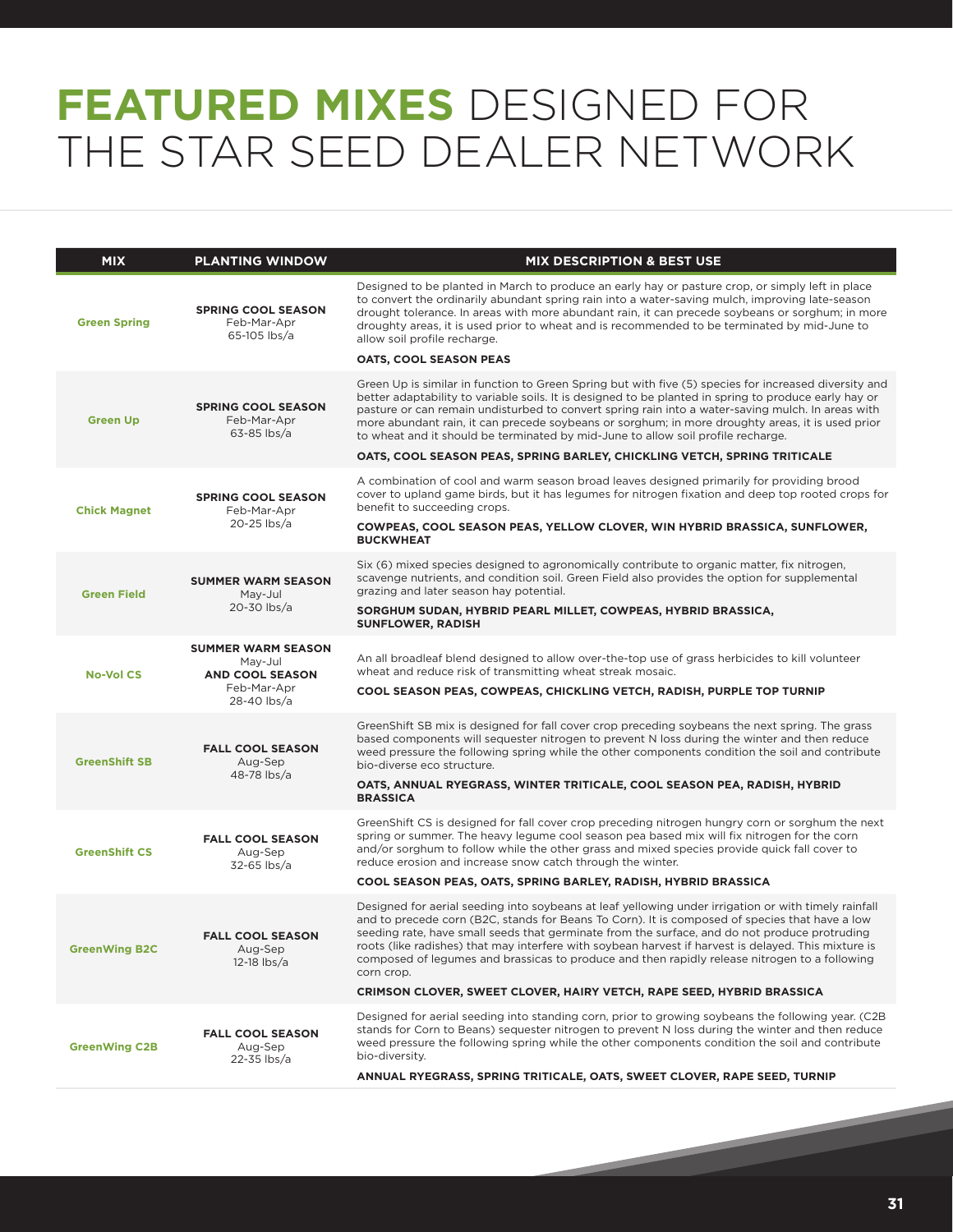## **FEATURED MIXES** DESIGNED FOR THE STAR SEED DEALER NETWORK

| <b>MIX</b>           | <b>PLANTING WINDOW</b>                                                                       | <b>MIX DESCRIPTION &amp; BEST USE</b>                                                                                                                                                                                                                                                                                                                                                                                                                                                                                          |
|----------------------|----------------------------------------------------------------------------------------------|--------------------------------------------------------------------------------------------------------------------------------------------------------------------------------------------------------------------------------------------------------------------------------------------------------------------------------------------------------------------------------------------------------------------------------------------------------------------------------------------------------------------------------|
| <b>Green Spring</b>  | <b>SPRING COOL SEASON</b><br>Feb-Mar-Apr<br>65-105 lbs/a                                     | Designed to be planted in March to produce an early hay or pasture crop, or simply left in place<br>to convert the ordinarily abundant spring rain into a water-saving mulch, improving late-season<br>drought tolerance. In areas with more abundant rain, it can precede soybeans or sorghum; in more<br>droughty areas, it is used prior to wheat and is recommended to be terminated by mid-June to<br>allow soil profile recharge.                                                                                        |
|                      |                                                                                              | OATS, COOL SEASON PEAS                                                                                                                                                                                                                                                                                                                                                                                                                                                                                                         |
| <b>Green Up</b>      | <b>SPRING COOL SEASON</b><br>Feb-Mar-Apr<br>$63-85$ lbs/a                                    | Green Up is similar in function to Green Spring but with five (5) species for increased diversity and<br>better adaptability to variable soils. It is designed to be planted in spring to produce early hay or<br>pasture or can remain undisturbed to convert spring rain into a water-saving mulch. In areas with<br>more abundant rain, it can precede soybeans or sorghum; in more droughty areas, it is used prior<br>to wheat and it should be terminated by mid-June to allow soil profile recharge.                    |
|                      |                                                                                              | OATS, COOL SEASON PEAS, SPRING BARLEY, CHICKLING VETCH, SPRING TRITICALE                                                                                                                                                                                                                                                                                                                                                                                                                                                       |
| <b>Chick Magnet</b>  | <b>SPRING COOL SEASON</b><br>Feb-Mar-Apr                                                     | A combination of cool and warm season broad leaves designed primarily for providing brood<br>cover to upland game birds, but it has legumes for nitrogen fixation and deep top rooted crops for<br>benefit to succeeding crops.                                                                                                                                                                                                                                                                                                |
|                      | 20-25 lbs/a                                                                                  | COWPEAS, COOL SEASON PEAS, YELLOW CLOVER, WIN HYBRID BRASSICA, SUNFLOWER,<br><b>BUCKWHEAT</b>                                                                                                                                                                                                                                                                                                                                                                                                                                  |
| <b>Green Field</b>   | <b>SUMMER WARM SEASON</b><br>May-Jul<br>20-30 lbs/a                                          | Six (6) mixed species designed to agronomically contribute to organic matter, fix nitrogen,<br>scavenge nutrients, and condition soil. Green Field also provides the option for supplemental<br>grazing and later season hay potential.                                                                                                                                                                                                                                                                                        |
|                      |                                                                                              | SORGHUM SUDAN, HYBRID PEARL MILLET, COWPEAS, HYBRID BRASSICA,<br><b>SUNFLOWER, RADISH</b>                                                                                                                                                                                                                                                                                                                                                                                                                                      |
| <b>No-Vol CS</b>     | <b>SUMMER WARM SEASON</b><br>Mav-Jul<br><b>AND COOL SEASON</b><br>Feb-Mar-Apr<br>28-40 lbs/a | An all broadleaf blend designed to allow over-the-top use of grass herbicides to kill volunteer<br>wheat and reduce risk of transmitting wheat streak mosaic.                                                                                                                                                                                                                                                                                                                                                                  |
|                      |                                                                                              | COOL SEASON PEAS, COWPEAS, CHICKLING VETCH, RADISH, PURPLE TOP TURNIP                                                                                                                                                                                                                                                                                                                                                                                                                                                          |
| <b>GreenShift SB</b> | <b>FALL COOL SEASON</b><br>Aug-Sep                                                           | Green Shift SB mix is designed for fall cover crop preceding soybeans the next spring. The grass<br>based components will sequester nitrogen to prevent N loss during the winter and then reduce<br>weed pressure the following spring while the other components condition the soil and contribute<br>bio-diverse eco structure.                                                                                                                                                                                              |
|                      | 48-78 lbs/a                                                                                  | OATS, ANNUAL RYEGRASS, WINTER TRITICALE, COOL SEASON PEA, RADISH, HYBRID<br><b>BRASSICA</b>                                                                                                                                                                                                                                                                                                                                                                                                                                    |
| <b>GreenShift CS</b> | <b>FALL COOL SEASON</b><br>Aug-Sep<br>32-65 lbs/a                                            | Green Shift CS is designed for fall cover crop preceding nitrogen hungry corn or sorghum the next<br>spring or summer. The heavy legume cool season pea based mix will fix nitrogen for the corn<br>and/or sorghum to follow while the other grass and mixed species provide quick fall cover to<br>reduce erosion and increase snow catch through the winter.                                                                                                                                                                 |
|                      |                                                                                              | COOL SEASON PEAS, OATS, SPRING BARLEY, RADISH, HYBRID BRASSICA                                                                                                                                                                                                                                                                                                                                                                                                                                                                 |
| <b>GreenWing B2C</b> | <b>FALL COOL SEASON</b><br>Aug-Sep<br>12-18 lbs/a                                            | Designed for aerial seeding into soybeans at leaf yellowing under irrigation or with timely rainfall<br>and to precede corn (B2C, stands for Beans To Corn). It is composed of species that have a low<br>seeding rate, have small seeds that germinate from the surface, and do not produce protruding<br>roots (like radishes) that may interfere with soybean harvest if harvest is delayed. This mixture is<br>composed of legumes and brassicas to produce and then rapidly release nitrogen to a following<br>corn crop. |
|                      |                                                                                              | CRIMSON CLOVER, SWEET CLOVER, HAIRY VETCH, RAPE SEED, HYBRID BRASSICA                                                                                                                                                                                                                                                                                                                                                                                                                                                          |
| <b>GreenWing C2B</b> | <b>FALL COOL SEASON</b><br>Aug-Sep<br>22-35 lbs/a                                            | Designed for aerial seeding into standing corn, prior to growing soybeans the following year. (C2B<br>stands for Corn to Beans) sequester nitrogen to prevent N loss during the winter and then reduce<br>weed pressure the following spring while the other components condition the soil and contribute<br>bio-diversity.                                                                                                                                                                                                    |
|                      |                                                                                              | ANNUAL RYEGRASS, SPRING TRITICALE, OATS, SWEET CLOVER, RAPE SEED, TURNIP                                                                                                                                                                                                                                                                                                                                                                                                                                                       |
|                      |                                                                                              |                                                                                                                                                                                                                                                                                                                                                                                                                                                                                                                                |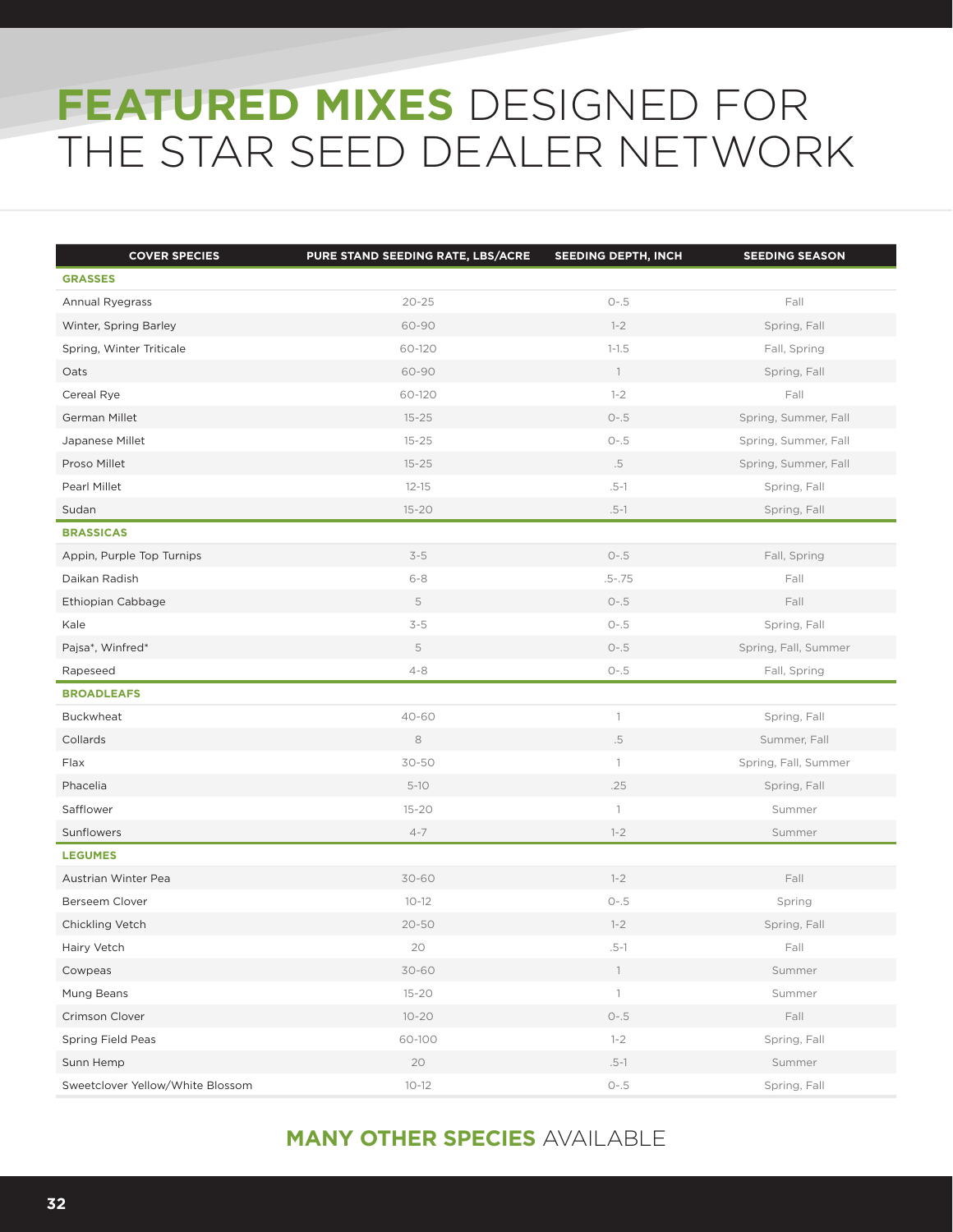## **FEATURED MIXES** DESIGNED FOR THE STAR SEED DEALER NETWORK

| <b>COVER SPECIES</b>             | PURE STAND SEEDING RATE, LBS/ACRE | SEEDING DEPTH, INCH | <b>SEEDING SEASON</b> |
|----------------------------------|-----------------------------------|---------------------|-----------------------|
| <b>GRASSES</b>                   |                                   |                     |                       |
| Annual Ryegrass                  | $20 - 25$                         | $O-.5$              | Fall                  |
| Winter, Spring Barley            | 60-90                             | $1 - 2$             | Spring, Fall          |
| Spring, Winter Triticale         | 60-120                            | $1 - 1.5$           | Fall, Spring          |
| Oats                             | 60-90                             | $\overline{1}$      | Spring, Fall          |
| Cereal Rye                       | 60-120                            | $1 - 2$             | Fall                  |
| German Millet                    | $15 - 25$                         | $O-.5$              | Spring, Summer, Fall  |
| Japanese Millet                  | $15 - 25$                         | $O-.5$              | Spring, Summer, Fall  |
| Proso Millet                     | $15 - 25$                         | $.5\,$              | Spring, Summer, Fall  |
| Pearl Millet                     | $12 - 15$                         | $.5-1$              | Spring, Fall          |
| Sudan                            | $15 - 20$                         | $.5-1$              | Spring, Fall          |
| <b>BRASSICAS</b>                 |                                   |                     |                       |
| Appin, Purple Top Turnips        | $3-5$                             | $O-.5$              | Fall, Spring          |
| Daikan Radish                    | $6 - 8$                           | $.5 - .75$          | Fall                  |
| Ethiopian Cabbage                | 5                                 | $O-.5$              | Fall                  |
| Kale                             | $3-5$                             | $O-.5$              | Spring, Fall          |
| Pajsa*, Winfred*                 | 5                                 | $O-.5$              | Spring, Fall, Summer  |
| Rapeseed                         | $4 - 8$                           | $O-.5$              | Fall, Spring          |
| <b>BROADLEAFS</b>                |                                   |                     |                       |
| Buckwheat                        | 40-60                             | $\mathbb{1}$        | Spring, Fall          |
| Collards                         | 8                                 | $.5\,$              | Summer, Fall          |
| Flax                             | 30-50                             | $\mathbf{1}$        | Spring, Fall, Summer  |
| Phacelia                         | $5 - 10$                          | .25                 | Spring, Fall          |
| Safflower                        | $15 - 20$                         | $\mathbb{1}$        | Summer                |
| Sunflowers                       | $4 - 7$                           | $1 - 2$             | Summer                |
| <b>LEGUMES</b>                   |                                   |                     |                       |
| Austrian Winter Pea              | 30-60                             | $1 - 2$             | Fall                  |
| Berseem Clover                   | $10 - 12$                         | $O-.5$              | Spring                |
| Chickling Vetch                  | $20 - 50$                         | $1 - 2$             | Spring, Fall          |
| Hairy Vetch                      | 20                                | .5-1                | Fall                  |
| Cowpeas                          | 30-60                             | $\mathbb{1}$        | Summer                |
| Mung Beans                       | $15 - 20$                         | $\overline{1}$      | Summer                |
| Crimson Clover                   | $10 - 20$                         | $O-.5$              | Fall                  |
| Spring Field Peas                | 60-100                            | $1 - 2$             | Spring, Fall          |
| Sunn Hemp                        | 20                                | $.5-1$              | Summer                |
| Sweetclover Yellow/White Blossom | $10 - 12$                         | $O-.5$              | Spring, Fall          |

### **MANY OTHER SPECIES** AVAILABLE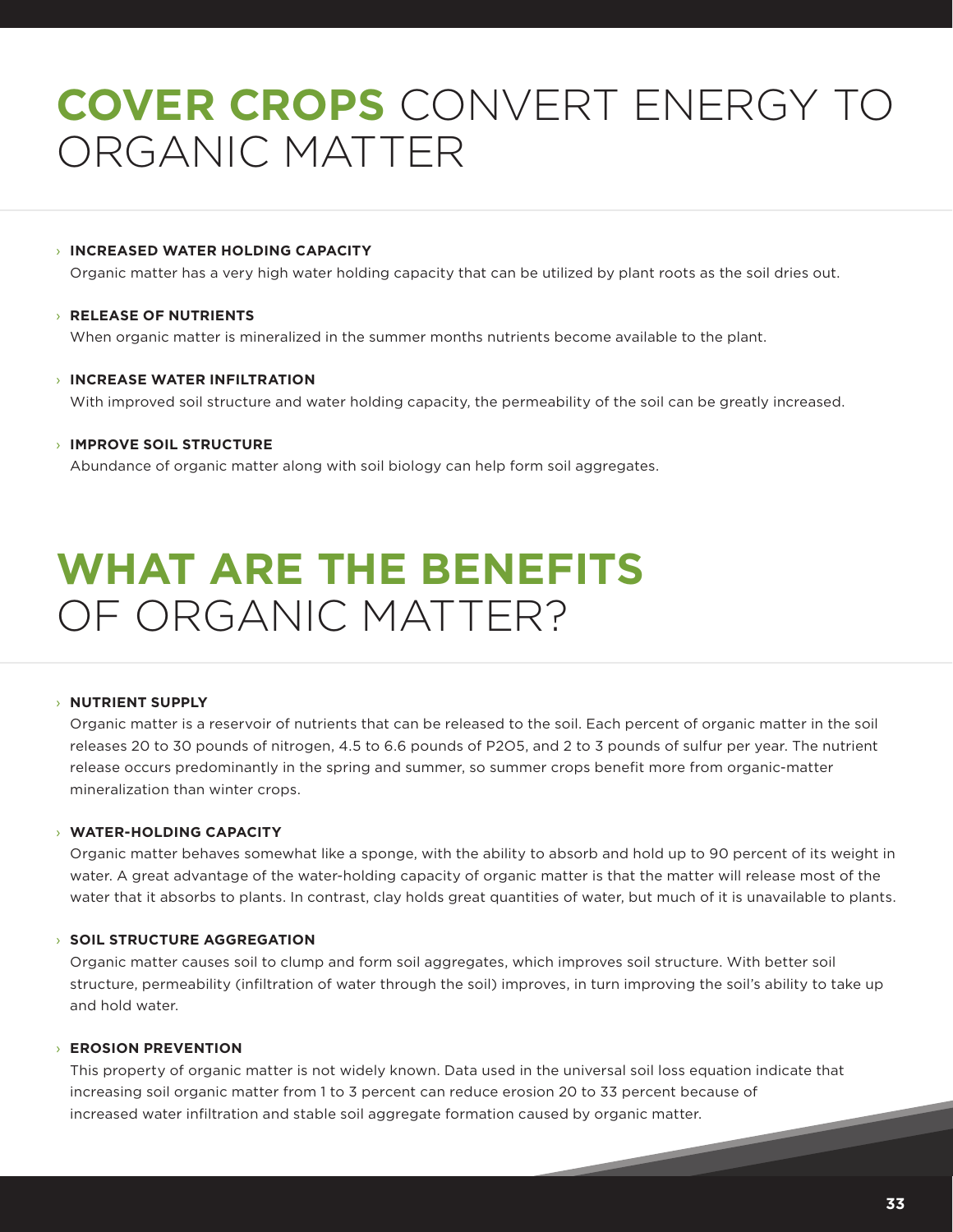## **COVER CROPS** CONVERT ENERGY TO ORGANIC MATTER

#### › **INCREASED WATER HOLDING CAPACITY**

Organic matter has a very high water holding capacity that can be utilized by plant roots as the soil dries out.

#### › **RELEASE OF NUTRIENTS**

When organic matter is mineralized in the summer months nutrients become available to the plant.

#### › **INCREASE WATER INFILTRATION**

With improved soil structure and water holding capacity, the permeability of the soil can be greatly increased.

#### › **IMPROVE SOIL STRUCTURE**

Abundance of organic matter along with soil biology can help form soil aggregates.

## **WHAT ARE THE BENEFITS**  OF ORGANIC MATTER?

#### › **NUTRIENT SUPPLY**

Organic matter is a reservoir of nutrients that can be released to the soil. Each percent of organic matter in the soil releases 20 to 30 pounds of nitrogen, 4.5 to 6.6 pounds of P2O5, and 2 to 3 pounds of sulfur per year. The nutrient release occurs predominantly in the spring and summer, so summer crops benefit more from organic-matter mineralization than winter crops.

#### › **WATER-HOLDING CAPACITY**

Organic matter behaves somewhat like a sponge, with the ability to absorb and hold up to 90 percent of its weight in water. A great advantage of the water-holding capacity of organic matter is that the matter will release most of the water that it absorbs to plants. In contrast, clay holds great quantities of water, but much of it is unavailable to plants.

#### › **SOIL STRUCTURE AGGREGATION**

Organic matter causes soil to clump and form soil aggregates, which improves soil structure. With better soil structure, permeability (infiltration of water through the soil) improves, in turn improving the soil's ability to take up and hold water.

#### › **EROSION PREVENTION**

This property of organic matter is not widely known. Data used in the universal soil loss equation indicate that increasing soil organic matter from 1 to 3 percent can reduce erosion 20 to 33 percent because of increased water infiltration and stable soil aggregate formation caused by organic matter.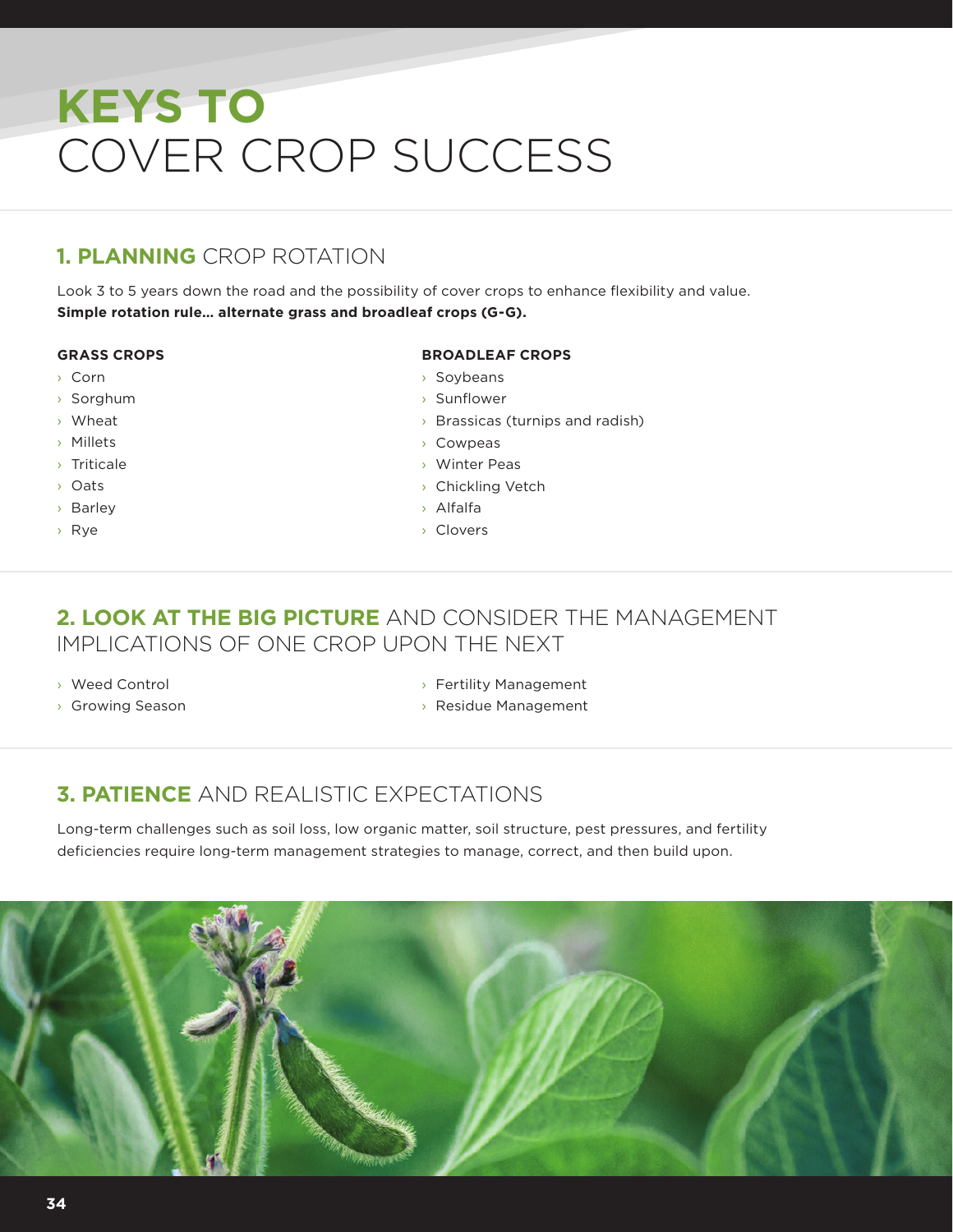# **KEYS TO** COVER CROP SUCCESS

## **1. PLANNING** CROP ROTATION

Look 3 to 5 years down the road and the possibility of cover crops to enhance flexibility and value. **Simple rotation rule… alternate grass and broadleaf crops (G-G).**

#### **GRASS CROPS**

- › Corn
- › Sorghum
- › Wheat
- › Millets
- › Triticale
- › Oats
- › Barley
- › Rye

#### **BROADLEAF CROPS**

- › Soybeans
- › Sunflower
- › Brassicas (turnips and radish)
- › Cowpeas
- › Winter Peas
- › Chickling Vetch
- › Alfalfa
- › Clovers

### **2. LOOK AT THE BIG PICTURE** AND CONSIDER THE MANAGEMENT IMPLICATIONS OF ONE CROP UPON THE NEXT

- › Weed Control
- › Growing Season
- › Fertility Management
- › Residue Management

### **3. PATIENCE** AND REALISTIC EXPECTATIONS

Long-term challenges such as soil loss, low organic matter, soil structure, pest pressures, and fertility deficiencies require long-term management strategies to manage, correct, and then build upon.

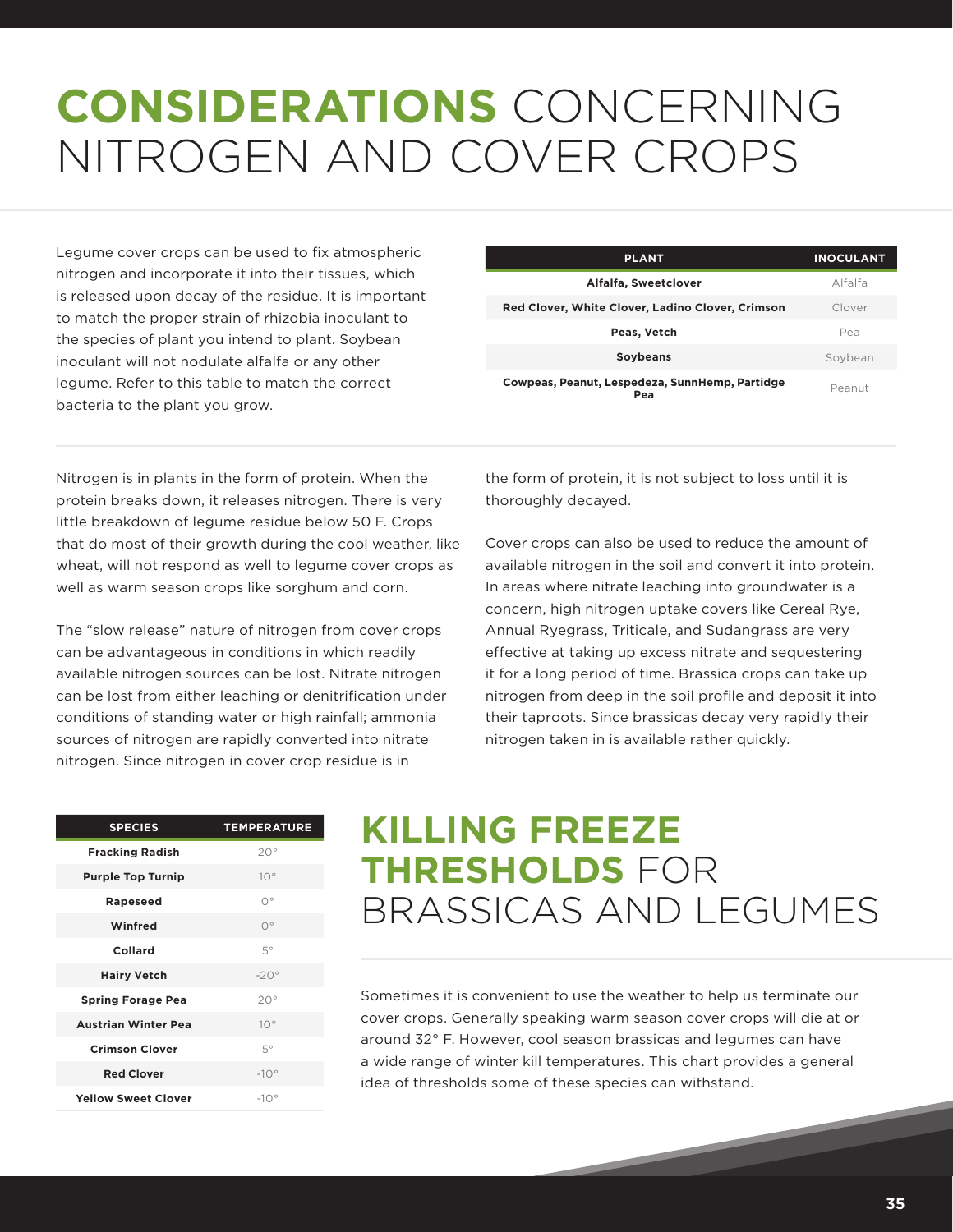# **CONSIDERATIONS** CONCERNING NITROGEN AND COVER CROPS

Legume cover crops can be used to fix atmospheric nitrogen and incorporate it into their tissues, which is released upon decay of the residue. It is important to match the proper strain of rhizobia inoculant to the species of plant you intend to plant. Soybean inoculant will not nodulate alfalfa or any other legume. Refer to this table to match the correct bacteria to the plant you grow.

| <b>PLANT</b>                                          | <b>INOCULANT</b> |
|-------------------------------------------------------|------------------|
| Alfalfa, Sweetclover                                  | Alfalfa          |
| Red Clover, White Clover, Ladino Clover, Crimson      | Clover           |
| Peas, Vetch                                           | Pea              |
| <b>Soybeans</b>                                       | Sovbean          |
| Cowpeas, Peanut, Lespedeza, SunnHemp, Partidge<br>Pea | Peanut           |

Nitrogen is in plants in the form of protein. When the protein breaks down, it releases nitrogen. There is very little breakdown of legume residue below 50 F. Crops that do most of their growth during the cool weather, like wheat, will not respond as well to legume cover crops as well as warm season crops like sorghum and corn.

The "slow release" nature of nitrogen from cover crops can be advantageous in conditions in which readily available nitrogen sources can be lost. Nitrate nitrogen can be lost from either leaching or denitrification under conditions of standing water or high rainfall; ammonia sources of nitrogen are rapidly converted into nitrate nitrogen. Since nitrogen in cover crop residue is in

the form of protein, it is not subject to loss until it is thoroughly decayed.

Cover crops can also be used to reduce the amount of available nitrogen in the soil and convert it into protein. In areas where nitrate leaching into groundwater is a concern, high nitrogen uptake covers like Cereal Rye, Annual Ryegrass, Triticale, and Sudangrass are very effective at taking up excess nitrate and sequestering it for a long period of time. Brassica crops can take up nitrogen from deep in the soil profile and deposit it into their taproots. Since brassicas decay very rapidly their nitrogen taken in is available rather quickly.

| <b>SPECIES</b>             | <b>TEMPERATURE</b> |
|----------------------------|--------------------|
| <b>Fracking Radish</b>     | $20^{\circ}$       |
| <b>Purple Top Turnip</b>   | $10^{\circ}$       |
| <b>Rapeseed</b>            | $\bigcap$          |
| Winfred                    | $O^{\circ}$        |
| Collard                    | 5°                 |
| <b>Hairy Vetch</b>         | $-20^\circ$        |
| <b>Spring Forage Pea</b>   | 20°                |
| <b>Austrian Winter Pea</b> | $10^{\circ}$       |
| <b>Crimson Clover</b>      | 5°                 |
| <b>Red Clover</b>          | $-10^{\circ}$      |
| <b>Yellow Sweet Clover</b> | $-10°$             |

## **KILLING FREEZE THRESHOLDS** FOR BRASSICAS AND LEGUMES

Sometimes it is convenient to use the weather to help us terminate our cover crops. Generally speaking warm season cover crops will die at or around 32° F. However, cool season brassicas and legumes can have a wide range of winter kill temperatures. This chart provides a general idea of thresholds some of these species can withstand.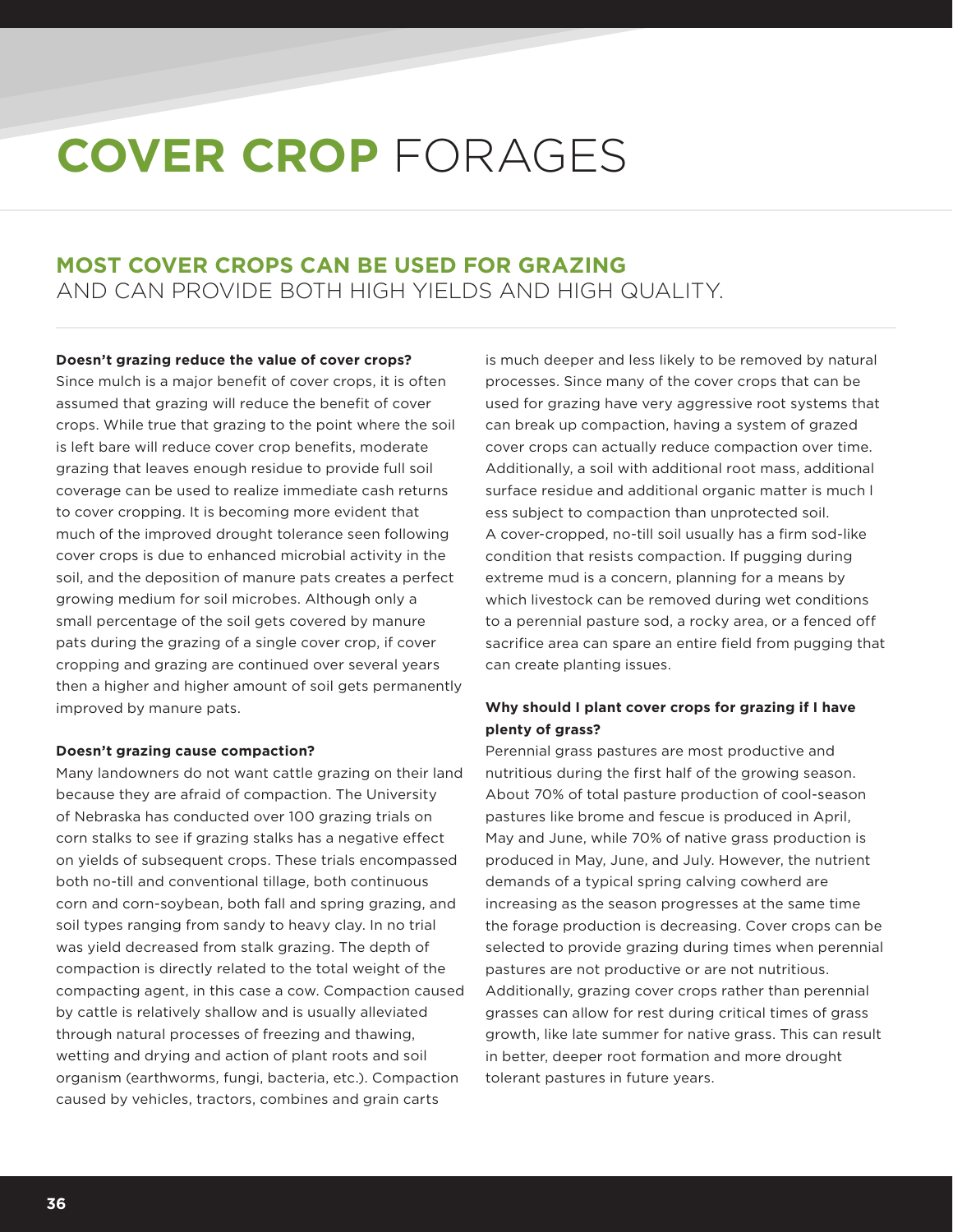# **COVER CROP** FORAGES

### **MOST COVER CROPS CAN BE USED FOR GRAZING** AND CAN PROVIDE BOTH HIGH YIELDS AND HIGH QUALITY.

**Doesn't grazing reduce the value of cover crops?** Since mulch is a major benefit of cover crops, it is often assumed that grazing will reduce the benefit of cover crops. While true that grazing to the point where the soil is left bare will reduce cover crop benefits, moderate grazing that leaves enough residue to provide full soil coverage can be used to realize immediate cash returns to cover cropping. It is becoming more evident that much of the improved drought tolerance seen following cover crops is due to enhanced microbial activity in the soil, and the deposition of manure pats creates a perfect growing medium for soil microbes. Although only a small percentage of the soil gets covered by manure pats during the grazing of a single cover crop, if cover cropping and grazing are continued over several years then a higher and higher amount of soil gets permanently improved by manure pats.

#### **Doesn't grazing cause compaction?**

Many landowners do not want cattle grazing on their land because they are afraid of compaction. The University of Nebraska has conducted over 100 grazing trials on corn stalks to see if grazing stalks has a negative effect on yields of subsequent crops. These trials encompassed both no-till and conventional tillage, both continuous corn and corn-soybean, both fall and spring grazing, and soil types ranging from sandy to heavy clay. In no trial was yield decreased from stalk grazing. The depth of compaction is directly related to the total weight of the compacting agent, in this case a cow. Compaction caused by cattle is relatively shallow and is usually alleviated through natural processes of freezing and thawing, wetting and drying and action of plant roots and soil organism (earthworms, fungi, bacteria, etc.). Compaction caused by vehicles, tractors, combines and grain carts

is much deeper and less likely to be removed by natural processes. Since many of the cover crops that can be used for grazing have very aggressive root systems that can break up compaction, having a system of grazed cover crops can actually reduce compaction over time. Additionally, a soil with additional root mass, additional surface residue and additional organic matter is much l ess subject to compaction than unprotected soil. A cover-cropped, no-till soil usually has a firm sod-like condition that resists compaction. If pugging during extreme mud is a concern, planning for a means by which livestock can be removed during wet conditions to a perennial pasture sod, a rocky area, or a fenced off sacrifice area can spare an entire field from pugging that can create planting issues.

#### **Why should I plant cover crops for grazing if I have plenty of grass?**

Perennial grass pastures are most productive and nutritious during the first half of the growing season. About 70% of total pasture production of cool-season pastures like brome and fescue is produced in April, May and June, while 70% of native grass production is produced in May, June, and July. However, the nutrient demands of a typical spring calving cowherd are increasing as the season progresses at the same time the forage production is decreasing. Cover crops can be selected to provide grazing during times when perennial pastures are not productive or are not nutritious. Additionally, grazing cover crops rather than perennial grasses can allow for rest during critical times of grass growth, like late summer for native grass. This can result in better, deeper root formation and more drought tolerant pastures in future years.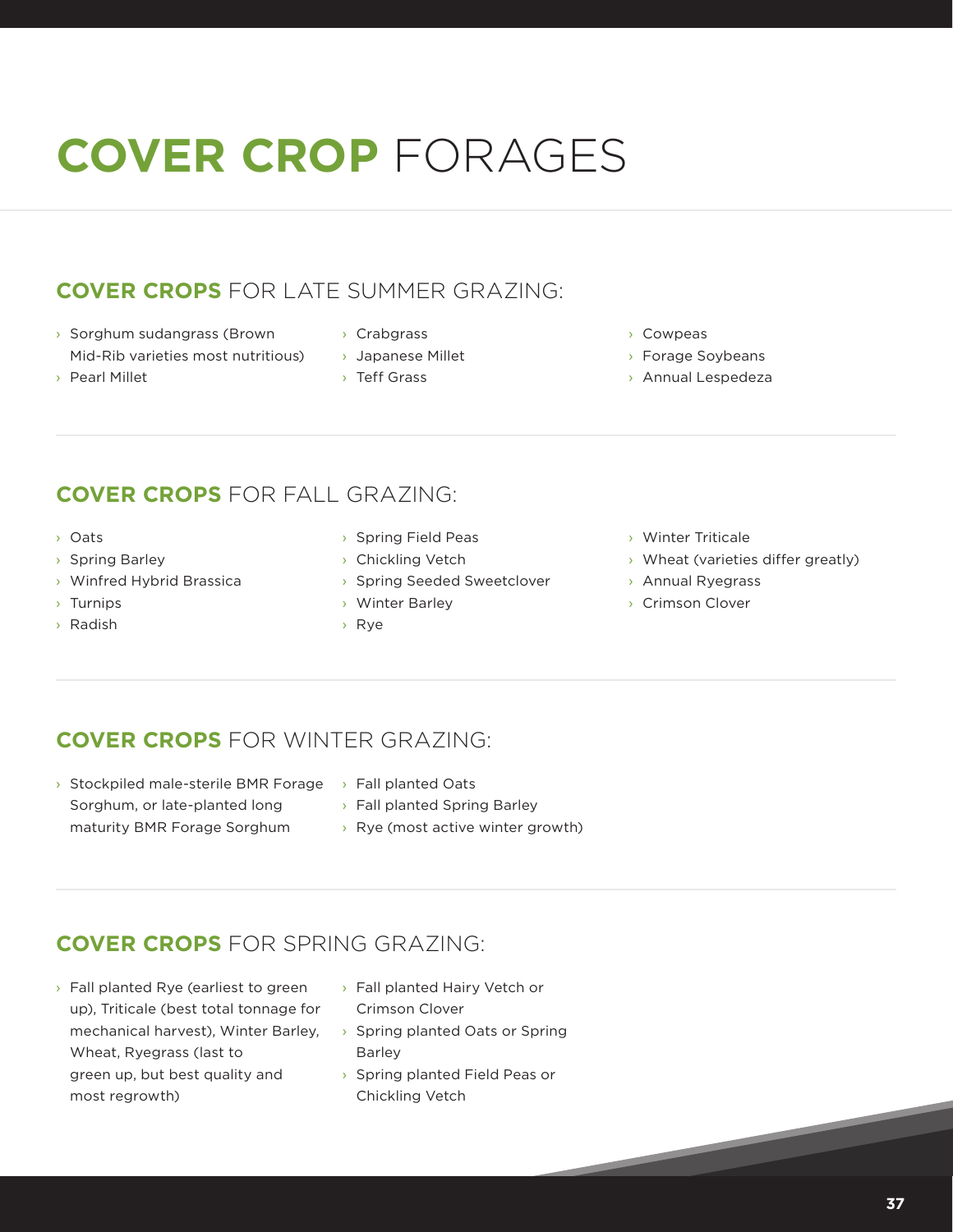# **COVER CROP** FORAGES

### **COVER CROPS** FOR LATE SUMMER GRAZING:

- › Sorghum sudangrass (Brown Mid-Rib varieties most nutritious)
- › Pearl Millet
- › Crabgrass
- › Japanese Millet
- › Teff Grass
- › Cowpeas
- › Forage Soybeans
- › Annual Lespedeza

- **COVER CROPS** FOR FALL GRAZING:
- › Oats
- › Spring Barley
- › Winfred Hybrid Brassica
- › Turnips
- › Radish
- › Spring Field Peas
- › Chickling Vetch
- › Spring Seeded Sweetclover
- › Winter Barley
- › Rye
- › Winter Triticale
- › Wheat (varieties differ greatly)
- › Annual Ryegrass
- › Crimson Clover

### **COVER CROPS** FOR WINTER GRAZING:

- > Stockpiled male-sterile BMR Forage > Fall planted Oats Sorghum, or late-planted long maturity BMR Forage Sorghum
- - › Fall planted Spring Barley
	- › Rye (most active winter growth)

### **COVER CROPS** FOR SPRING GRAZING:

- › Fall planted Rye (earliest to green up), Triticale (best total tonnage for mechanical harvest), Winter Barley, Wheat, Ryegrass (last to green up, but best quality and most regrowth)
- › Fall planted Hairy Vetch or Crimson Clover
- › Spring planted Oats or Spring Barley
- › Spring planted Field Peas or Chickling Vetch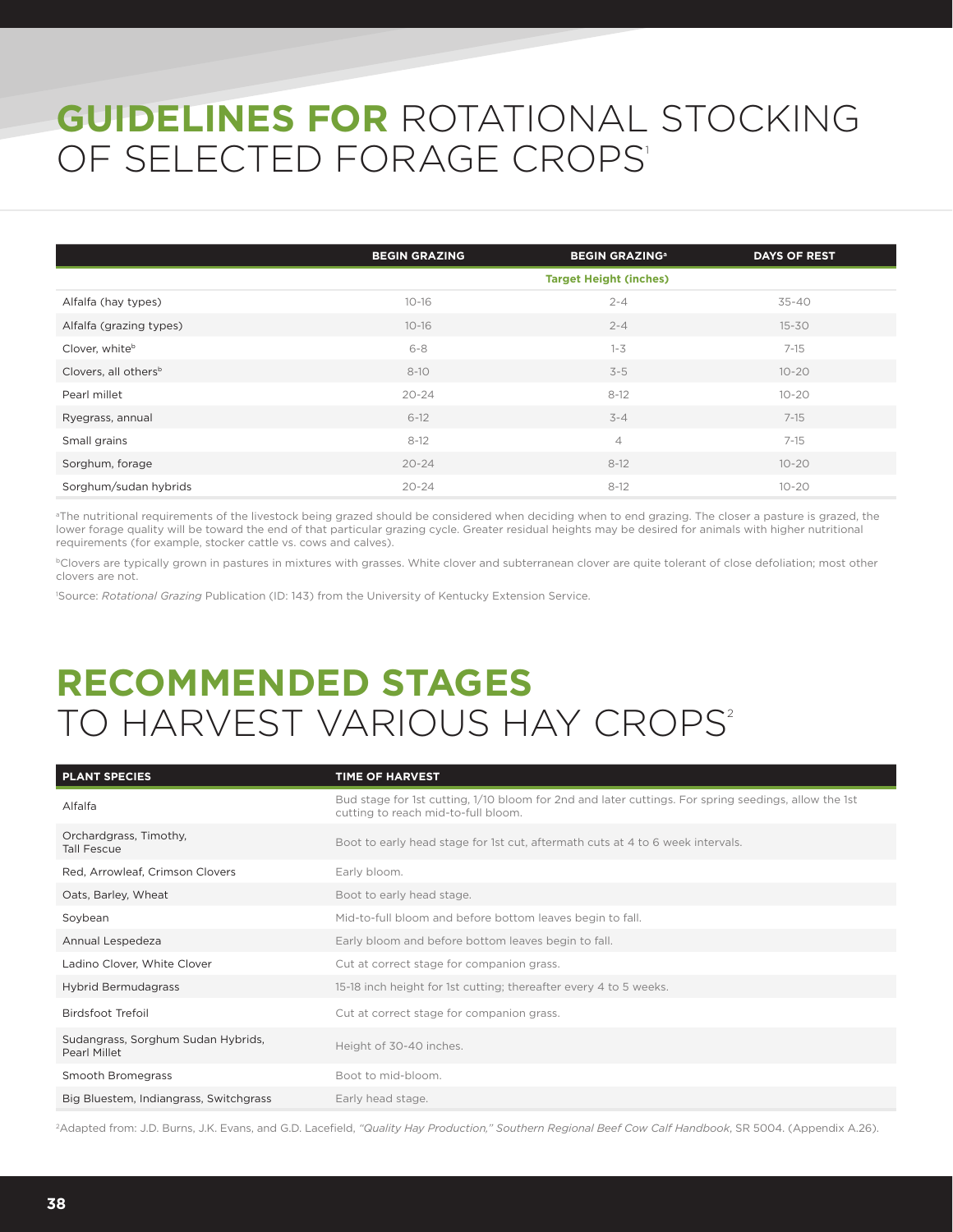## **GUIDELINES FOR** ROTATIONAL STOCKING OF SELECTED FORAGE CROPS'

|                                  | <b>BEGIN GRAZING</b> | <b>BEGIN GRAZING<sup>a</sup></b> | <b>DAYS OF REST</b> |
|----------------------------------|----------------------|----------------------------------|---------------------|
|                                  |                      | <b>Target Height (inches)</b>    |                     |
| Alfalfa (hay types)              | $10 - 16$            | $2 - 4$                          | $35 - 40$           |
| Alfalfa (grazing types)          | $10 - 16$            | $2 - 4$                          | $15 - 30$           |
| Clover, whiteb                   | $6 - 8$              | $1 - 3$                          | $7 - 15$            |
| Clovers, all others <sup>b</sup> | $8 - 10$             | $3 - 5$                          | $10 - 20$           |
| Pearl millet                     | $20 - 24$            | $8 - 12$                         | $10 - 20$           |
| Ryegrass, annual                 | $6 - 12$             | $3 - 4$                          | $7 - 15$            |
| Small grains                     | $8 - 12$             | $\overline{4}$                   | $7 - 15$            |
| Sorghum, forage                  | $20 - 24$            | $8 - 12$                         | $10 - 20$           |
| Sorghum/sudan hybrids            | $20 - 24$            | $8 - 12$                         | $10 - 20$           |

<sup>a</sup>The nutritional requirements of the livestock being grazed should be considered when deciding when to end grazing. The closer a pasture is grazed, the lower forage quality will be toward the end of that particular grazing cycle. Greater residual heights may be desired for animals with higher nutritional requirements (for example, stocker cattle vs. cows and calves).

**Clovers are typically grown in pastures in mixtures with grasses. White clover and subterranean clover are quite tolerant of close defoliation; most other** clovers are not.

1 Source: *Rotational Grazing* Publication (ID: 143) from the University of Kentucky Extension Service.

## **RECOMMENDED STAGES** TO HARVEST VARIOUS HAY CROPS<sup>2</sup>

| <b>PLANT SPECIES</b>                               | TIME OF HARVEST                                                                                                                             |
|----------------------------------------------------|---------------------------------------------------------------------------------------------------------------------------------------------|
| Alfalfa                                            | Bud stage for 1st cutting, 1/10 bloom for 2nd and later cuttings. For spring seedings, allow the 1st<br>cutting to reach mid-to-full bloom. |
| Orchardgrass, Timothy,<br><b>Tall Fescue</b>       | Boot to early head stage for 1st cut, aftermath cuts at 4 to 6 week intervals.                                                              |
| Red, Arrowleaf, Crimson Clovers                    | Early bloom.                                                                                                                                |
| Oats, Barley, Wheat                                | Boot to early head stage.                                                                                                                   |
| Soybean                                            | Mid-to-full bloom and before bottom leaves begin to fall.                                                                                   |
| Annual Lespedeza                                   | Early bloom and before bottom leaves begin to fall.                                                                                         |
| Ladino Clover, White Clover                        | Cut at correct stage for companion grass.                                                                                                   |
| Hybrid Bermudagrass                                | 15-18 inch height for 1st cutting; thereafter every 4 to 5 weeks.                                                                           |
| Birdsfoot Trefoil                                  | Cut at correct stage for companion grass.                                                                                                   |
| Sudangrass, Sorghum Sudan Hybrids,<br>Pearl Millet | Height of 30-40 inches.                                                                                                                     |
| Smooth Bromegrass                                  | Boot to mid-bloom.                                                                                                                          |
| Big Bluestem, Indiangrass, Switchgrass             | Early head stage.                                                                                                                           |

2Adapted from: J.D. Burns, J.K. Evans, and G.D. Lacefield, *"Quality Hay Production," Southern Regional Beef Cow Calf Handbook*, SR 5004. (Appendix A.26).